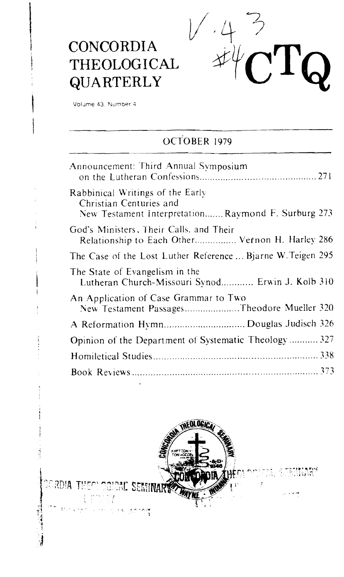

# **CONCORDIA THEOLOGICAL QUARTERLY**

Volume 43, Number 4

### OCTOBER 1979

| Announcement: Third Annual Symposium                                                                              |
|-------------------------------------------------------------------------------------------------------------------|
| Rabbinical Writings of the Early<br>Christian Centuries and<br>New Testament InterpretationRavmond F. Surburg 273 |
| God's Ministers, Their Calls, and Their<br>Relationship to Each Other Vernon H. Harley 286                        |
| The Case of the Lost Luther Reference  Bjarne W. Teigen 295                                                       |
| The State of Evangelism in the<br>Lutheran Church-Missouri Synod Erwin J. Kolb 310                                |
| An Application of Case Grammar to Two<br>New Testament PassagesTheodore Mueller 320                               |
|                                                                                                                   |
| Opinion of the Department of Systematic Theology 327                                                              |
|                                                                                                                   |
|                                                                                                                   |

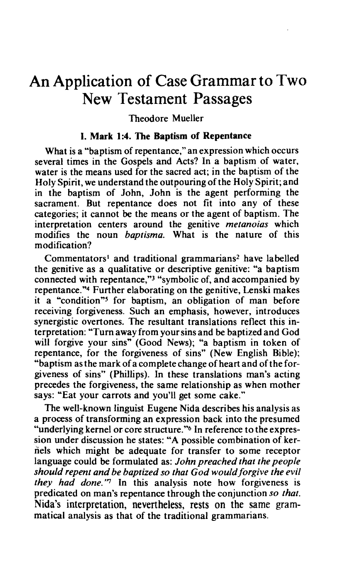## An Application of Case Grammar to Two New Testament Passages

#### Theodore Mueller

#### **I. Mark 1:4. The Baptism of Repentance**

What is a "baptism of repentance," an expression which occurs several times in the Gospels and Acts? In a baptism of water, water is the means used for the sacred act; in the baptism of the Holy Spirit, we understand the outpouring of the Holy Spirit; and in the baptism of John, John is the agent performing the sacrament. But repentance does not fit into any of these categories; it cannot be the means or the agent of baptism. The interpretation centers around the genitive *metanoias* which modifies the noun *baptisma.* What is the nature of this modification?

Commentators<sup>1</sup> and traditional grammarians<sup>2</sup> have labelled the genitive as a qualitative or descriptive genitive: "a baptism connected with repentance,"<sup>3</sup> "symbolic of, and accompanied by repentance."4 Further elaborating on the genitive, Lenski makes it a "condition"5 for baptism, an obligation of man before receiving forgiveness. Such an emphasis, however, introduces synergistic overtones. The resultant translations reflect this interpretation: "Turn away from your sins and be baptized and God will forgive your sins" (Good News); "a baptism in token of repentance, for the forgiveness of sins" (New English Bible); "baptism as the mark of a complete change of heart and of the forgiveness of sins" (Phillips). In these translations man's acting precedes the forgiveness, the same relationship as when mother says: "Eat your carrots and you'll get some cake."

The well-known linguist Eugene Nida describes his analysis as a process of transforming an expression back into the presumed "underlying kernel or core structure."<sup>6</sup> In reference to the expression under discussion he states: "A possible combination of kernels which might be adequate for transfer to some receptor language could be formulated as: *John preached that the people should repent and be baptized so that God would forgive the evil they had done.'7* In this analysis note how forgiveness is predicated on man's repentance through the conjunction *so that.*  **Nida's** interpretation, nevertheless, rests on the same grammatical analysis as that of the traditional grammarians.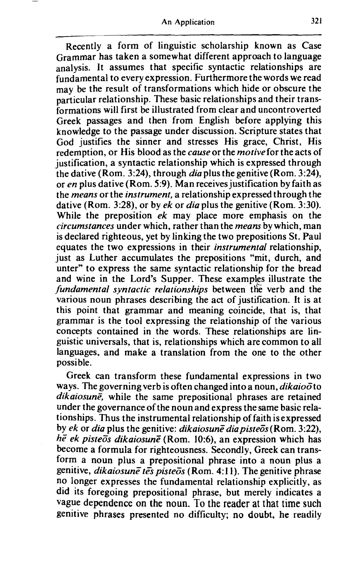Recently a form of linguistic scholarship known as Case Grammar has taken a somewhat different approach to language analysis. It assumes that specific syntactic relationships are fundamental to every expression. Furthermore the words we read may be the result of transformations which hide or obscure the particular relationship. These basic relationships and their transformations will first be illustrated from clear and uncontroverted Greek passages and then from English before applying this knowledge to the passage under discussion. Scripture states that God justifies the sinner and stresses His grace, Christ, His redemption, or His blood as the *cause* or the *motive* for the acts of justification, a syntactic relationship which is expressed through the dative (Rom. 3:24), through  $dia$  plus the genitive (Rom. 3:24), or *en* plus dative (Rorn. **5:9).** Man receives justification by faith as the *means* or the *instrument,* a relationship expressed through the dative (Rom. 3:28), or by *ek* or *dia* plus the genitive (Rom. 3:30). While the preposition *ek* may place more emphasis on the *circumstances* under which, rather than the *means* by which, man is declared righteous, yet by linking the two prepositions St. Paul equates the two expressions in their *instrumental* relationship, just as Luther accumulates the prepositions "mit, durch, and unter" to express the same syntactic relationship for the bread and wine in the Lord's Supper. These examples illustrate the *fundamental syntactic relationships* between the verb and the various noun phrases describing the act of justification. It is at this point that grammar and meaning coincide, that is, that grammar is the tool expressing the relationship of the various concepts contained in the words. These relationships are linguistic universals, that is, relationships which are common to all languages, and make a translation from the one to the other possible.

Greek can transform these fundamental expressions in two ways. The governing verb is often changed into a noun, *dikaioo* to dikaiosune, while the same prepositional phrases are retained under the governance of the noun and express the same basic relations hips. Thus the instrumental relationship of faith is expressed by *ek* or *dia* plus the genitive: *dikaiosune dia pisteos* (Rom. 3:22), he ek pisteos dikaiosune (Rom. 10:6), an expression which has become a formula for righteousness. Secondly, Greek can transform a noun plus a prepositional phrase into a noun plus a genitive, *dikaiosune tes pisteos* (Rom. 4:11). The genitive phrase no longer expresses the fundamental relationship explicitly, as did its foregoing prepositional phrase, but merely indicates a vague dependence on the noun. To the reader **at** that time such genitive phrases presented no difficulty; no doubt, he readily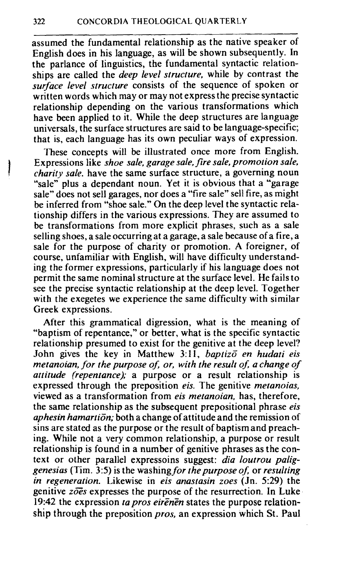assumed the fundamental relationship as the native speaker of English does in his language, as will be shown subsequently. In the parlance of linguistics, the fundamental syntactic relationships are called the *deep level structure,* while by contrast the *surface level structure* consists of the sequence of spoken or written words which may or may not express the precise syntactic relationship depending on the various transformations which have been applied to it. While the deep structures are language universals, the surface structures are said to be language-specific; that is, each language has its own peculiar ways of expression.

These concepts will be illustrated once more from English.<br>Expressions like *shoe sale, garage sale, fire sale, promotion sale*, charity sale, have the same surface structure, a governing noun "sale" plus a dependant noun. Yet it is obvious that a "garage" sale" does not sell garages, nor does a "fire sale" sell fire, as might be inferred from "shoe sale." On the deep level the syntactic relationship differs in the various expressions. They are assumed to be transformations from more explicit phrases, such as a sale selling shoes, a sale occurring at a garage, a sale because of a fire, a sale for the purpose of charity or promotion. A foreigner, of course, unfamiliar with English, will have difficulty understanding the former expressions, particularly if his language does not permit the same nominal structure at the surface level. He fails to see the precise syntactic relationship at the deep level. Together with the exegetes we experience the same difficulty with similar Greek expressions.

After this grammatical digression, what is the meaning of "baptism of repentance," or better, what is the specific syntactic relationship presumed to exist for the genitive at the deep level? John gives the key in Matthew **3:** 11, *baptizc en hudari eis metanoian, for the purpose of, or, with the result of, a change of attitude (repentance);* a purpose or a result relationship is expressed through the preposition *eis.* The genitive *metanoias,*  viewed as a transformation from *eis metanoian,* has, therefore, the same relationship as the subsequent prepositional phrase *eis aphesin hamartion;* both a change of attitude and the remission of sins are stated as the purpose or the result of baptismand preaching. While not a very common relationship, a purpose or result relationship is found in a number of genitive phrases as the context or other parallel expressoins suggest: *dia loutrou paliggenesias* (Tim. **35)** is the washing *for the purpose of;* or *resulting in regeneration.* Likewise in *eis anastasin zoes* (Jn. **5:29)** the genitive zoes expresses the purpose of the resurrection. In Luke 19:42 the expression *ta pros eirenen* states the purpose relationship through the preposition *pros,* an expression which St. Paul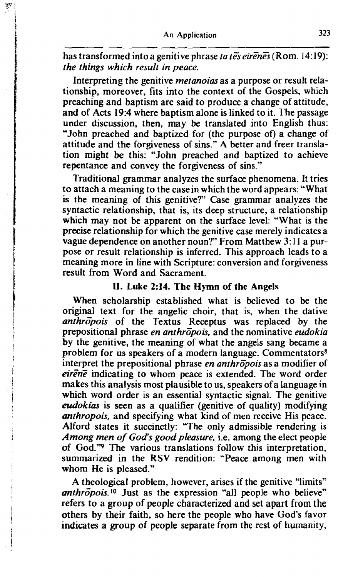has transformed into a genitive phrase *ta tes eirenes* (Rom. 14:19): *the things which result in peace.* 

Interpreting the genitive *metanoias* as a purpose or result relationship, moreover, fits into the context of the Gospels, which preaching and baptism are said to produce a change of attitude, and of Acts 19:4 where baptism alone is linked to it. The passage under discussion, then, may be translated into English thus: "John preached and baptized for (the purpose of) a change of attitude and the forgiveness of sins." A better and freer translation might be this: "John preached and baptized to achieve repentance and convey the forgiveness of sins."

Traditional grammar analyzes the surface phenomena. It tries to attach a meaning to the casein which the word appears: "What is the meaning of this genitive?" Case grammar analyzes the syntactic relationship, that is, its deep structure, a relationship which may not be apparent on the surface level: "What is the precise relationship for which the genitive case merely indicates a vague dependence on another noun?" From Matthew 3: **1** I a purpose or result relationship is inferred. This approach leads to a meaning more in line with Scripture: conversion and forgiveness result from Word and Sacrament.

#### **11. Luke 214. The Hymn of the Angels**

When scholarship established what is believed to be the original text for the angelic choir, that is, when the dative anthropois of the Textus Receptus was replaced by the prepositional phrase *en anthrzpois,* and the nominative *eudokia*  by the genitive, the meaning of what the angels sang became a problem for us speakers of a modern language. Commentators<sup>8</sup> interpret the prepositional phrase *en anthropois* as a modifier of eirene indicating to whom peace is extended. The word order makes this analysis most plausible to us, speakers of a language in which word order is an essential syntactic signal. The genitive *eudokias* is seen as a qualifier (genitive of quality) modifying *anthropois*, and specifying what kind of men receive His peace. Alford states it succinctly: "The only admissible rendering is *Among men of God's good pleasure, i.e. among the elect people* of God."<sup>9</sup> The various translations follow this interpretation, summarized in the RSV rendition: "Peace among men with whom He is pleased."

A theological problem, however, arises if the genitive "limits" *anthropois.<sup>10</sup>* Just as the expression "all people who believe" refers to a group of people characterized and set apart from the others by their faith, so here the people who have God's favor indicates a group of people separate from the rest of humanity,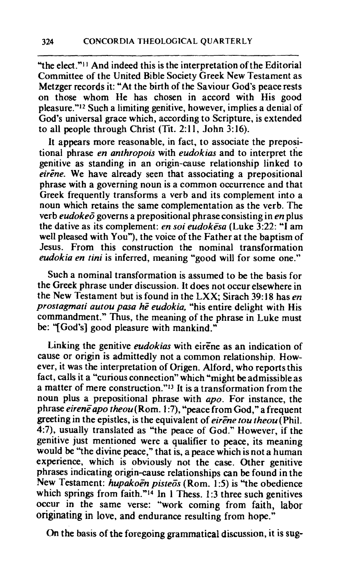"the elect." $\frac{11}{11}$  And indeed this is the interpretation of the Editorial Committee of the United Bible Society Greek New Testament as Metzger records it: "At the birth of the Saviour God's peace rests on those whom He has chosen in accord with His good pleasure."'2 Such a limiting genitive, however, implies a denial of God's universal grace which, according to Scripture, is extended to all people through Christ (Tit. 2:11, John 3:16).

It appears more reasonable, in fact, to associate the prepositional phrase *en anrhropois* with *eudokias* and to interpret the genitive as standing in an origin-cause relationship linked to eirene. We have already seen that associating a prepositional phrase with a governing noun is a common occurrence and that Greek frequently transforms a verb and its complement into a noun which retains the same complementation as the verb. The verb *eudokeo'* governs a prepositional phrase consisting in *en* plus the dative as its complement: *en soi eudokeSa* (Luke 3:22: *"I* am well pleased with You"), the voice of the Father at the baptism of Jesus. From this construction the nominal transformation *eudokia en tini* is inferred, meaning "good will for some one."

Such a nominal transformation is assumed to be the basis for the Greek phrase under discussion. It does not occur elsewhere in the New Testament but is found in the **LXX;** Sirach 39: **18** has *en prostagmati autou pasa he eudokia,* "his entire delight with His commandment." Thus, the meaning of the phrase in Luke must be: "[God's] good pleasure with mankind."

Linking the genitive *eudokias* with eirene as an indication of cause or origin is admittedly not a common relationship. However, it was the interpretation of Origen. Alford, who reports this fact, calls it a "curious connection" which "might be admissible as a matter of mere construction."<sup>13</sup> It is a transformation from the noun plus a prepositional phrase with *apo.* For instance, the phrase *eirene* apo theou(Rom. 1:7), "peace from God," a frequent greeting in the epistles, is the equivalent of *eirene tou theou* (Phil. 4:7), usually translated as "the peace of God." However, if the genitive just mentioned were a qualifier to peace, its meaning would be "the divine peace," that is, a peace which is not a human experience, which is obviously not the case. Other genitive phrases indicating origin-cause relationships can be found in the New Testament: *hupakoen pisteos* (Rom. 1:5) is "the obedience which springs from faith."<sup>14</sup> In 1 Thess. 1:3 three such genitives occur in the same verse: "work coming from faith, labor originating in love, and endurance resulting from hope."

**On** the basis of the foregoing grammatical discussion, it is **sug-**